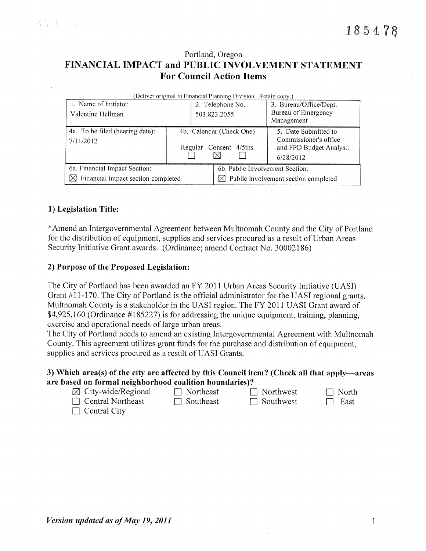# Portland, Oregon FINANCIAL IMPACT and PUBLIC INVOLVEMENT STATEMENT **For Council Action Items**

| (Deliver original to Financial Planning Division. Retain copy.) |                          |                  |                                      |  |  |
|-----------------------------------------------------------------|--------------------------|------------------|--------------------------------------|--|--|
| 1. Name of Initiator                                            |                          | 2. Telephone No. | 3. Bureau/Office/Dept.               |  |  |
| Valentine Hellman                                               |                          | 503.823.2055     | Bureau of Emergency                  |  |  |
|                                                                 |                          |                  | Management                           |  |  |
| 4a. To be filed (hearing date):                                 | 4b. Calendar (Check One) |                  | 5. Date Submitted to                 |  |  |
| 7/11/2012                                                       |                          |                  | Commissioner's office                |  |  |
|                                                                 | Regular                  | Consent 4/5ths   | and FPD Budget Analyst:              |  |  |
|                                                                 |                          |                  | 6/28/2012                            |  |  |
| 6a. Financial Impact Section:                                   |                          |                  | 6b. Public Involvement Section:      |  |  |
| Financial impact section completed<br>IХI                       |                          |                  | Public involvement section completed |  |  |

# 1) Legislation Title:

\*Amend an Intergovernmental Agreement between Multnomah County and the City of Portland for the distribution of equipment, supplies and services procured as a result of Urban Areas Security Initiative Grant awards. (Ordinance; amend Contract No. 30002186)

## 2) Purpose of the Proposed Legislation:

The City of Portland has been awarded an FY 2011 Urban Areas Security Initiative (UASI) Grant #11-170. The City of Portland is the official administrator for the UASI regional grants. Multnomah County is a stakeholder in the UASI region. The FY 2011 UASI Grant award of \$4,925,160 (Ordinance #185227) is for addressing the unique equipment, training, planning, exercise and operational needs of large urban areas.

The City of Portland needs to amend an existing Intergovernmental Agreement with Multnomah County. This agreement utilizes grant funds for the purchase and distribution of equipment, supplies and services procured as a result of UASI Grants.

## 3) Which area(s) of the city are affected by this Council item? (Check all that apply—areas are based on formal neighborhood coalition boundaries)?

| $\boxtimes$ City-wide/Regional | $\Box$ Northeast | $\Box$ Northwest | $\Box$ North |
|--------------------------------|------------------|------------------|--------------|
| $\Box$ Central Northeast       | $\Box$ Southeast | $\Box$ Southwest | $\Box$ East  |
|                                |                  |                  |              |

 $\Box$  Central City

| Version updated as of May 19, 2011 |  |  |  |  |  |  |  |  |
|------------------------------------|--|--|--|--|--|--|--|--|
|------------------------------------|--|--|--|--|--|--|--|--|

 $\mathbf{1}$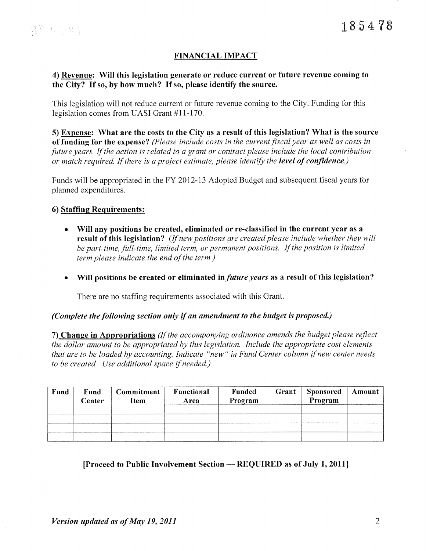# **FINANCIAL IMPACT**

## 4) Revenue: Will this legislation generate or reduce current or future revenue coming to the City? If so, by how much? If so, please identify the source.

This legislation will not reduce current or future revenue coming to the City. Funding for this legislation comes from UASI Grant #11-170.

5) Expense: What are the costs to the City as a result of this legislation? What is the source of funding for the expense? (Please include costs in the current fiscal year as well as costs in future years. If the action is related to a grant or contract please include the local contribution or match required. If there is a project estimate, please identify the level of confidence.)

Funds will be appropriated in the FY 2012-13 Adopted Budget and subsequent fiscal years for planned expenditures.

**6) Staffing Requirements:** 

- Will any positions be created, eliminated or re-classified in the current year as a result of this legislation? (If new positions are created please include whether they will be part-time, full-time, limited term, or permanent positions. If the position is limited term please indicate the end of the term.)
- Will positions be created or eliminated in *future years* as a result of this legislation?  $\bullet$

There are no staffing requirements associated with this Grant.

#### (Complete the following section only if an amendment to the budget is proposed.)

7) Change in Appropriations (If the accompanying ordinance amends the budget please reflect the dollar amount to be appropriated by this legislation. Include the appropriate cost elements that are to be loaded by accounting. Indicate "new" in Fund Center column if new center needs to be created. Use additional space if needed.)

| Fund | Fund<br>Center | <b>Commitment</b><br>Item | Functional<br>Area | Funded<br>Program | Grant | <b>Sponsored</b><br>Program | Amount |
|------|----------------|---------------------------|--------------------|-------------------|-------|-----------------------------|--------|
|      |                |                           |                    |                   |       |                             |        |
|      |                |                           |                    |                   |       |                             |        |

#### [Proceed to Public Involvement Section — REQUIRED as of July 1, 2011]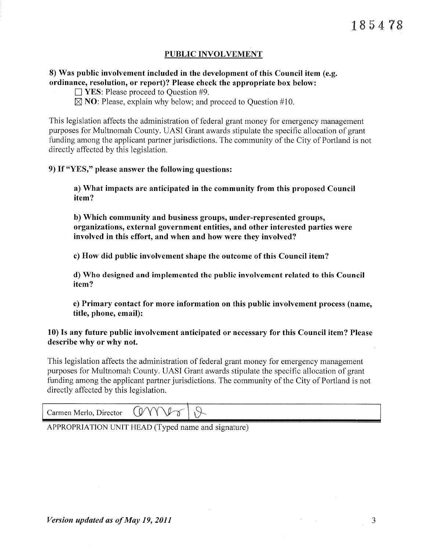# PUBLIC INVOLVEMENT

# 8) Was public involvement included in the development of this Council item (e.g. ordinance, resolution, or report)? Please check the appropriate box below:

- $\Box$  YES: Please proceed to Question #9.
- $\boxtimes$  **NO**: Please, explain why below; and proceed to Question #10.

This legislation affects the administration of federal grant money for emergency management purposes for Multnomah County. UASI Grant awards stipulate the specific allocation of grant funding among the applicant partner jurisdictions. The community of the City of Portland is not directly affected by this legislation.

## 9) If "YES," please answer the following questions:

a) What impacts are anticipated in the community from this proposed Council item?

b) Which community and business groups, under-represented groups, organizations, external government entities, and other interested parties were involved in this effort, and when and how were they involved?

c) How did public involvement shape the outcome of this Council item?

d) Who designed and implemented the public involvement related to this Council item?

e) Primary contact for more information on this public involvement process (name, title, phone, email):

# 10) Is any future public involvement anticipated or necessary for this Council item? Please describe why or why not.

This legislation affects the administration of federal grant money for emergency management purposes for Multnomah County. UASI Grant awards stipulate the specific allocation of grant funding among the applicant partner jurisdictions. The community of the City of Portland is not directly affected by this legislation.

| Director<br>Carmen Merlo, | w<br>$\sim$ |  |
|---------------------------|-------------|--|
|                           |             |  |

APPROPRIATION UNIT HEAD (Typed name and signature)